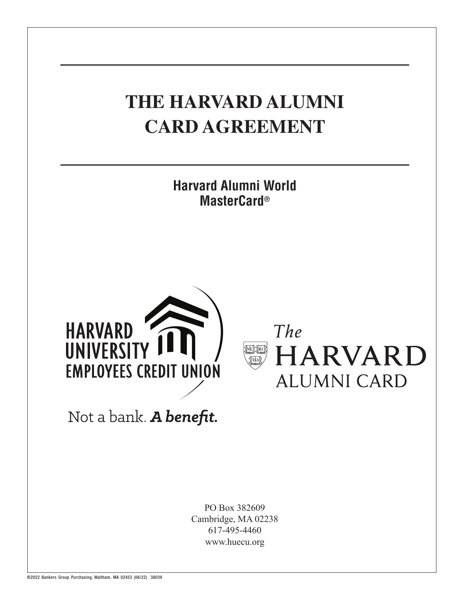# **THE HARVARD ALUMNI CARD AGREEMENT Harvard Alumni World MasterCard®HARVARD** The **UNIVERSIT HARVARD EMPLOYEES CREDIT UNION ALUMNI CARD** Not a bank. A benefit. PO Box 382609 Cambridge, MA 02238 617-495-4460

www.huecu.org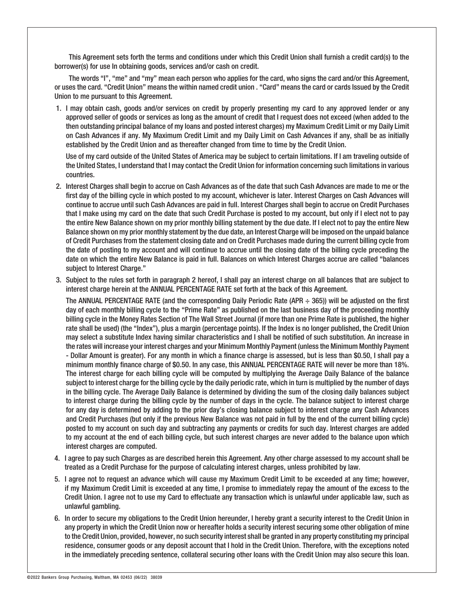This Agreement sets forth the terms and conditions under which this Credit Union shall furnish a credit card(s) to the borrower(s) for use In obtaining goods, services and/or cash on credit.

The words "I", "me" and "my" mean each person who applies for the card, who signs the card and/or this Agreement, or uses the card. "Credit Union" means the within named credit union . "Card" means the card or cards Issued by the Credit Union to me pursuant to this Agreement.

1. I may obtain cash, goods and/or services on credit by properly presenting my card to any approved lender or any approved seller of goods or services as long as the amount of credit that I request does not exceed (when added to the then outstanding principal balance of my loans and posted interest charges) my Maximum Credit Limit or my Daily Limit on Cash Advances if any. My Maximum Credit Limit and my Daily Limit on Cash Advances if any, shall be as initially established by the Credit Union and as thereafter changed from time to time by the Credit Union.

Use of my card outside of the United States of America may be subject to certain limitations. If I am traveling outside of the United States, I understand that I may contact the Credit Union for information concerning such limitations in various countries.

- 2. Interest Charges shall begin to accrue on Cash Advances as of the date that such Cash Advances are made to me or the first day of the billing cycle in which posted to my account, whichever is later. Interest Charges on Cash Advances will continue to accrue until such Cash Advances are paid in full. Interest Charges shall begin to accrue on Credit Purchases that I make using my card on the date that such Credit Purchase is posted to my account, but only if I elect not to pay the entire New Balance shown on my prior monthly billing statement by the due date. If I elect not to pay the entire New Balance shown on my prior monthly statement by the due date, an Interest Charge will be imposed on the unpaid balance of Credit Purchases from the statement closing date and on Credit Purchases made during the current billing cycle from the date of posting to my account and will continue to accrue until the closing date of the billing cycle preceding the date on which the entire New Balance is paid in full. Balances on which Interest Charges accrue are called "balances subject to Interest Charge."
- 3. Subject to the rules set forth in paragraph 2 hereof, I shall pay an interest charge on all balances that are subject to interest charge herein at the ANNUAL PERCENTAGE RATE set forth at the back of this Agreement.

The ANNUAL PERCENTAGE RATE (and the corresponding Daily Periodic Rate (APR  $\div$  365)) will be adjusted on the first day of each monthly billing cycle to the "Prime Rate" as published on the last business day of the proceeding monthly billing cycle in the Money Rates Section of The Wall Street Journal (if more than one Prime Rate is published, the higher rate shall be used) (the "Index"), plus a margin (percentage points). If the Index is no longer published, the Credit Union may select a substitute Index having similar characteristics and I shall be notified of such substitution. An increase in the rates will increase your interest charges and your Minimum Monthly Payment (unless the Minimum Monthly Payment - Dollar Amount is greater). For any month in which a finance charge is assessed, but is less than \$0.50, I shall pay a minimum monthly finance charge of \$0.50. In any case, this ANNUAL PERCENTAGE RATE will never be more than 18%. The interest charge for each billing cycle will be computed by multiplying the Average Daily Balance of the balance subject to interest charge for the billing cycle by the daily periodic rate, which in turn is multiplied by the number of days in the billing cycle. The Average Daily Balance is determined by dividing the sum of the closing daily balances subject to interest charge during the billing cycle by the number of days in the cycle. The balance subject to interest charge for any day is determined by adding to the prior day's closing balance subject to interest charge any Cash Advances and Credit Purchases (but only if the previous New Balance was not paid in full by the end of the current billing cycle) posted to my account on such day and subtracting any payments or credits for such day. Interest charges are added to my account at the end of each billing cycle, but such interest charges are never added to the balance upon which interest charges are computed.

- 4. I agree to pay such Charges as are described herein this Agreement. Any other charge assessed to my account shall be treated as a Credit Purchase for the purpose of calculating interest charges, unless prohibited by law.
- 5. I agree not to request an advance which will cause my Maximum Credit Limit to be exceeded at any time; however, if my Maximum Credit Limit is exceeded at any time, I promise to immediately repay the amount of the excess to the Credit Union. I agree not to use my Card to effectuate any transaction which is unlawful under applicable law, such as unlawful gambling.
- 6. In order to secure my obligations to the Credit Union hereunder, I hereby grant a security interest to the Credit Union in any property in which the Credit Union now or hereafter holds a security interest securing some other obligation of mine to the Credit Union, provided, however, no such security interest shall be granted in any property constituting my principal residence, consumer goods or any deposit account that I hold in the Credit Union. Therefore, with the exceptions noted in the immediately preceding sentence, collateral securing other loans with the Credit Union may also secure this loan.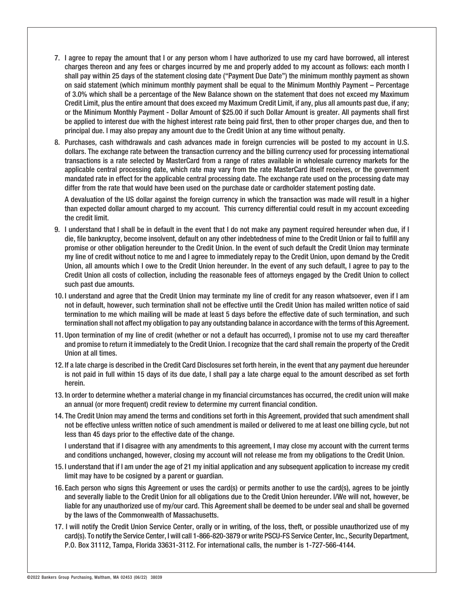- 7. I agree to repay the amount that I or any person whom I have authorized to use my card have borrowed, all interest charges thereon and any fees or charges incurred by me and properly added to my account as follows: each month I shall pay within 25 days of the statement closing date ("Payment Due Date") the minimum monthly payment as shown on said statement (which minimum monthly payment shall be equal to the Minimum Monthly Payment – Percentage of 3.0% which shall be a percentage of the New Balance shown on the statement that does not exceed my Maximum Credit Limit, plus the entire amount that does exceed my Maximum Credit Limit, if any, plus all amounts past due, if any; or the Minimum Monthly Payment - Dollar Amount of \$25.00 if such Dollar Amount is greater. All payments shall first be applied to interest due with the highest interest rate being paid first, then to other proper charges due, and then to principal due. I may also prepay any amount due to the Credit Union at any time without penalty.
- 8. Purchases, cash withdrawals and cash advances made in foreign currencies will be posted to my account in U.S. dollars. The exchange rate between the transaction currency and the billing currency used for processing international transactions is a rate selected by MasterCard from a range of rates available in wholesale currency markets for the applicable central processing date, which rate may vary from the rate MasterCard itself receives, or the government mandated rate in effect for the applicable central processing date. The exchange rate used on the processing date may differ from the rate that would have been used on the purchase date or cardholder statement posting date.

A devaluation of the US dollar against the foreign currency in which the transaction was made will result in a higher than expected dollar amount charged to my account. This currency differential could result in my account exceeding the credit limit.

- 9. I understand that I shall be in default in the event that I do not make any payment required hereunder when due, if I die, file bankruptcy, become insolvent, default on any other indebtedness of mine to the Credit Union or fail to fulfill any promise or other obligation hereunder to the Credit Union. In the event of such default the Credit Union may terminate my line of credit without notice to me and I agree to immediately repay to the Credit Union, upon demand by the Credit Union, all amounts which I owe to the Credit Union hereunder. In the event of any such default, I agree to pay to the Credit Union all costs of collection, including the reasonable fees of attorneys engaged by the Credit Union to collect such past due amounts.
- 10. I understand and agree that the Credit Union may terminate my line of credit for any reason whatsoever, even if I am not in default, however, such termination shall not be effective until the Credit Union has mailed written notice of said termination to me which mailing will be made at least 5 days before the effective date of such termination, and such termination shall not affect my obligation to pay any outstanding balance in accordance with the terms of this Agreement.
- 11. Upon termination of my line of credit (whether or not a default has occurred), I promise not to use my card thereafter and promise to return it immediately to the Credit Union. I recognize that the card shall remain the property of the Credit Union at all times.
- 12. If a late charge is described in the Credit Card Disclosures set forth herein, in the event that any payment due hereunder is not paid in full within 15 days of its due date, I shall pay a late charge equal to the amount described as set forth herein.
- 13. In order to determine whether a material change in my financial circumstances has occurred, the credit union will make an annual (or more frequent) credit review to determine my current financial condition.
- 14. The Credit Union may amend the terms and conditions set forth in this Agreement, provided that such amendment shall not be effective unless written notice of such amendment is mailed or delivered to me at least one billing cycle, but not less than 45 days prior to the effective date of the change.

I understand that if I disagree with any amendments to this agreement, I may close my account with the current terms and conditions unchanged, however, closing my account will not release me from my obligations to the Credit Union.

- 15. I understand that if I am under the age of 21 my initial application and any subsequent application to increase my credit limit may have to be cosigned by a parent or guardian.
- 16. Each person who signs this Agreement or uses the card(s) or permits another to use the card(s), agrees to be jointly and severally liable to the Credit Union for all obligations due to the Credit Union hereunder. I/We will not, however, be liable for any unauthorized use of my/our card. This Agreement shall be deemed to be under seal and shall be governed by the laws of the Commonwealth of Massachusetts.
- 17. I will notify the Credit Union Service Center, orally or in writing, of the loss, theft, or possible unauthorized use of my card(s). To notify the Service Center, I will call 1-866-820-3879 or write PSCU-FS Service Center, Inc., Security Department, P.O. Box 31112, Tampa, Florida 33631-3112. For international calls, the number is 1-727-566-4144.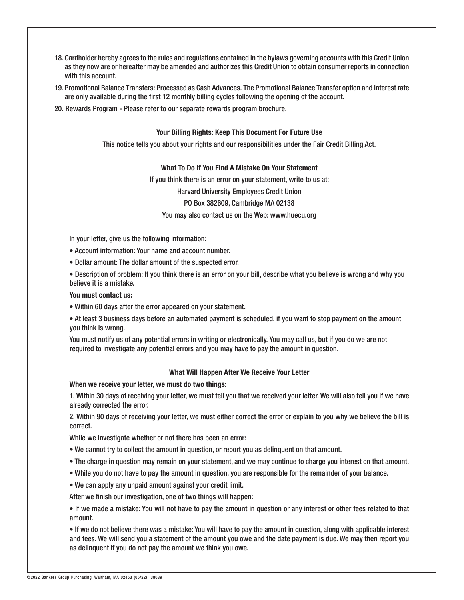- 18. Cardholder hereby agrees to the rules and regulations contained in the bylaws governing accounts with this Credit Union as they now are or hereafter may be amended and authorizes this Credit Union to obtain consumer reports in connection with this account.
- 19. Promotional Balance Transfers: Processed as Cash Advances. The Promotional Balance Transfer option and interest rate are only available during the first 12 monthly billing cycles following the opening of the account.
- 20. Rewards Program Please refer to our separate rewards program brochure.

## **Your Billing Rights: Keep This Document For Future Use**

This notice tells you about your rights and our responsibilities under the Fair Credit Billing Act.

## **What To Do If You Find A Mistake On Your Statement**

If you think there is an error on your statement, write to us at: Harvard University Employees Credit Union PO Box 382609, Cambridge MA 02138 You may also contact us on the Web: www.huecu.org

In your letter, give us the following information:

• Account information: Your name and account number.

• Dollar amount: The dollar amount of the suspected error.

• Description of problem: If you think there is an error on your bill, describe what you believe is wrong and why you believe it is a mistake.

#### **You must contact us:**

• Within 60 days after the error appeared on your statement.

• At least 3 business days before an automated payment is scheduled, if you want to stop payment on the amount you think is wrong.

You must notify us of any potential errors in writing or electronically. You may call us, but if you do we are not required to investigate any potential errors and you may have to pay the amount in question.

## **What Will Happen After We Receive Your Letter**

#### **When we receive your letter, we must do two things:**

1. Within 30 days of receiving your letter, we must tell you that we received your letter. We will also tell you if we have already corrected the error.

2. Within 90 days of receiving your letter, we must either correct the error or explain to you why we believe the bill is correct.

While we investigate whether or not there has been an error:

• We cannot try to collect the amount in question, or report you as delinquent on that amount.

- The charge in question may remain on your statement, and we may continue to charge you interest on that amount.
- While you do not have to pay the amount in question, you are responsible for the remainder of your balance.
- We can apply any unpaid amount against your credit limit.

After we finish our investigation, one of two things will happen:

• If we made a mistake: You will not have to pay the amount in question or any interest or other fees related to that amount.

• If we do not believe there was a mistake: You will have to pay the amount in question, along with applicable interest and fees. We will send you a statement of the amount you owe and the date payment is due. We may then report you as delinquent if you do not pay the amount we think you owe.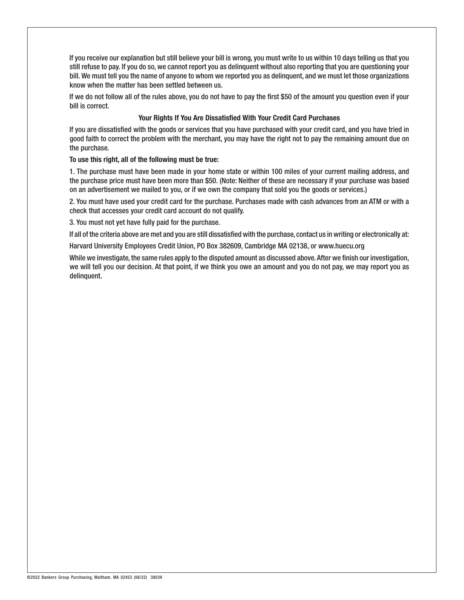If you receive our explanation but still believe your bill is wrong, you must write to us within 10 days telling us that you still refuse to pay. If you do so, we cannot report you as delinquent without also reporting that you are questioning your bill. We must tell you the name of anyone to whom we reported you as delinquent, and we must let those organizations know when the matter has been settled between us.

If we do not follow all of the rules above, you do not have to pay the first \$50 of the amount you question even if your bill is correct.

## **Your Rights If You Are Dissatisfied With Your Credit Card Purchases**

If you are dissatisfied with the goods or services that you have purchased with your credit card, and you have tried in good faith to correct the problem with the merchant, you may have the right not to pay the remaining amount due on the purchase.

## **To use this right, all of the following must be true:**

1. The purchase must have been made in your home state or within 100 miles of your current mailing address, and the purchase price must have been more than \$50. (Note: Neither of these are necessary if your purchase was based on an advertisement we mailed to you, or if we own the company that sold you the goods or services.)

2. You must have used your credit card for the purchase. Purchases made with cash advances from an ATM or with a check that accesses your credit card account do not qualify.

3. You must not yet have fully paid for the purchase.

If all of the criteria above are met and you are still dissatisfied with the purchase, contact us in writing or electronically at:

Harvard University Employees Credit Union, PO Box 382609, Cambridge MA 02138, or www.huecu.org

While we investigate, the same rules apply to the disputed amount as discussed above. After we finish our investigation, we will tell you our decision. At that point, if we think you owe an amount and you do not pay, we may report you as delinquent.